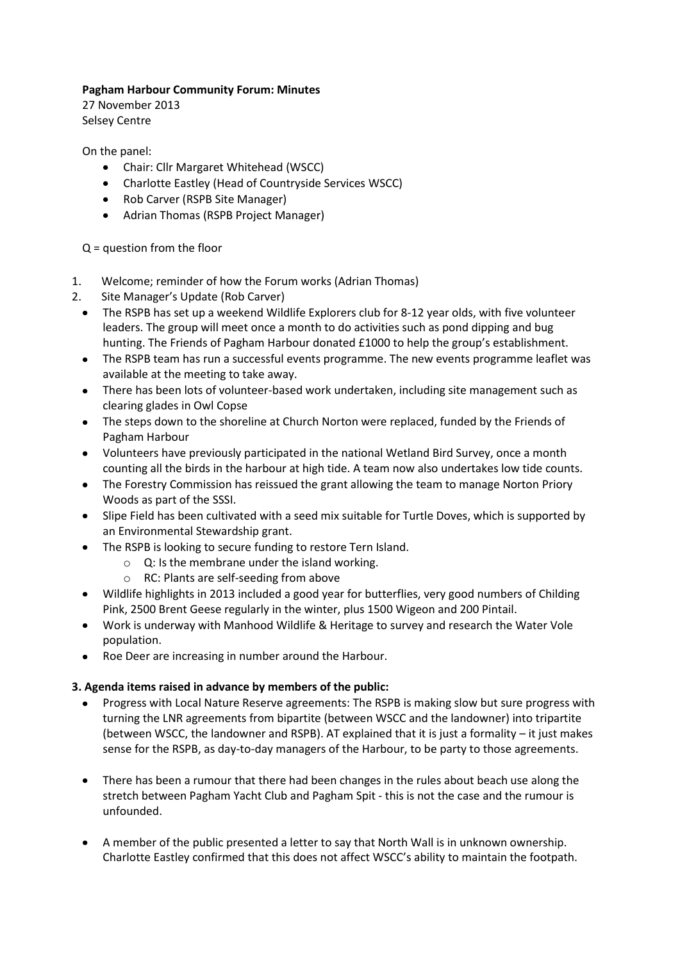## **Pagham Harbour Community Forum: Minutes**

27 November 2013 Selsey Centre

On the panel:

- Chair: Cllr Margaret Whitehead (WSCC)
- Charlotte Eastley (Head of Countryside Services WSCC)
- Rob Carver (RSPB Site Manager)
- Adrian Thomas (RSPB Project Manager)

Q = question from the floor

- 1. Welcome; reminder of how the Forum works (Adrian Thomas)
- 2. Site Manager's Update (Rob Carver)
	- The RSPB has set up a weekend Wildlife Explorers club for 8-12 year olds, with five volunteer leaders. The group will meet once a month to do activities such as pond dipping and bug hunting. The Friends of Pagham Harbour donated £1000 to help the group's establishment.
	- The RSPB team has run a successful events programme. The new events programme leaflet was available at the meeting to take away.
	- There has been lots of volunteer-based work undertaken, including site management such as clearing glades in Owl Copse
	- The steps down to the shoreline at Church Norton were replaced, funded by the Friends of Pagham Harbour
	- Volunteers have previously participated in the national Wetland Bird Survey, once a month counting all the birds in the harbour at high tide. A team now also undertakes low tide counts.
	- The Forestry Commission has reissued the grant allowing the team to manage Norton Priory Woods as part of the SSSI.
	- Slipe Field has been cultivated with a seed mix suitable for Turtle Doves, which is supported by an Environmental Stewardship grant.
	- The RSPB is looking to secure funding to restore Tern Island.
		- o Q: Is the membrane under the island working.
		- o RC: Plants are self-seeding from above
	- Wildlife highlights in 2013 included a good year for butterflies, very good numbers of Childing Pink, 2500 Brent Geese regularly in the winter, plus 1500 Wigeon and 200 Pintail.
	- Work is underway with Manhood Wildlife & Heritage to survey and research the Water Vole population.
	- Roe Deer are increasing in number around the Harbour.

## **3. Agenda items raised in advance by members of the public:**

- Progress with Local Nature Reserve agreements: The RSPB is making slow but sure progress with turning the LNR agreements from bipartite (between WSCC and the landowner) into tripartite (between WSCC, the landowner and RSPB). AT explained that it is just a formality – it just makes sense for the RSPB, as day-to-day managers of the Harbour, to be party to those agreements.
- There has been a rumour that there had been changes in the rules about beach use along the stretch between Pagham Yacht Club and Pagham Spit - this is not the case and the rumour is unfounded.
- A member of the public presented a letter to say that North Wall is in unknown ownership. Charlotte Eastley confirmed that this does not affect WSCC's ability to maintain the footpath.